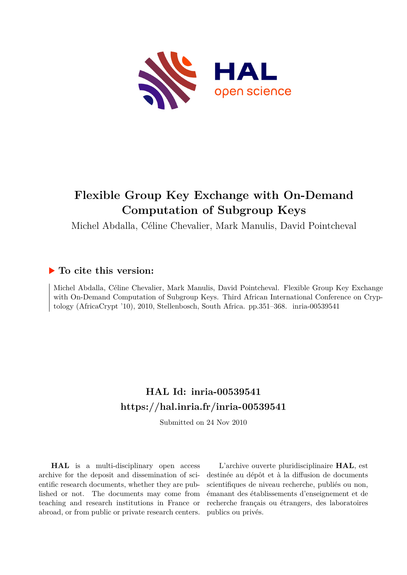

# **Flexible Group Key Exchange with On-Demand Computation of Subgroup Keys**

Michel Abdalla, Céline Chevalier, Mark Manulis, David Pointcheval

# **To cite this version:**

Michel Abdalla, Céline Chevalier, Mark Manulis, David Pointcheval. Flexible Group Key Exchange with On-Demand Computation of Subgroup Keys. Third African International Conference on Cryptology (AfricaCrypt '10), 2010, Stellenbosch, South Africa. pp.351-368. inria-00539541

# **HAL Id: inria-00539541 <https://hal.inria.fr/inria-00539541>**

Submitted on 24 Nov 2010

**HAL** is a multi-disciplinary open access archive for the deposit and dissemination of scientific research documents, whether they are published or not. The documents may come from teaching and research institutions in France or abroad, or from public or private research centers.

L'archive ouverte pluridisciplinaire **HAL**, est destinée au dépôt et à la diffusion de documents scientifiques de niveau recherche, publiés ou non, émanant des établissements d'enseignement et de recherche français ou étrangers, des laboratoires publics ou privés.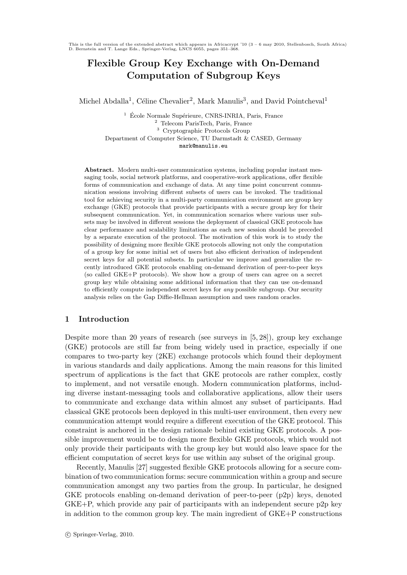This is the full version of the extended abstract which appears in Africacrypt '10  $(3 - 6$  may 2010, Stellenbosch, South Africa) D. Bernstein and T. Lange Eds., Springer-Verlag, LNCS 6055, pages 351–368.

# Flexible Group Key Exchange with On-Demand Computation of Subgroup Keys

Michel Abdalla<sup>1</sup>, Céline Chevalier<sup>2</sup>, Mark Manulis<sup>3</sup>, and David Pointcheval<sup>1</sup>

<sup>1</sup> École Normale Supérieure, CNRS-INRIA, Paris, France <sup>2</sup> Telecom ParisTech, Paris, France <sup>3</sup> Cryptographic Protocols Group Department of Computer Science, TU Darmstadt & CASED, Germany mark@manulis.eu

Abstract. Modern multi-user communication systems, including popular instant messaging tools, social network platforms, and cooperative-work applications, offer flexible forms of communication and exchange of data. At any time point concurrent communication sessions involving different subsets of users can be invoked. The traditional tool for achieving security in a multi-party communication environment are group key exchange (GKE) protocols that provide participants with a secure group key for their subsequent communication. Yet, in communication scenarios where various user subsets may be involved in different sessions the deployment of classical GKE protocols has clear performance and scalability limitations as each new session should be preceded by a separate execution of the protocol. The motivation of this work is to study the possibility of designing more flexible GKE protocols allowing not only the computation of a group key for some initial set of users but also efficient derivation of independent secret keys for all potential subsets. In particular we improve and generalize the recently introduced GKE protocols enabling on-demand derivation of peer-to-peer keys (so called GKE+P protocols). We show how a group of users can agree on a secret group key while obtaining some additional information that they can use on-demand to efficiently compute independent secret keys for any possible subgroup. Our security analysis relies on the Gap Diffie-Hellman assumption and uses random oracles.

# 1 Introduction

Despite more than 20 years of research (see surveys in [5, 28]), group key exchange (GKE) protocols are still far from being widely used in practice, especially if one compares to two-party key (2KE) exchange protocols which found their deployment in various standards and daily applications. Among the main reasons for this limited spectrum of applications is the fact that GKE protocols are rather complex, costly to implement, and not versatile enough. Modern communication platforms, including diverse instant-messaging tools and collaborative applications, allow their users to communicate and exchange data within almost any subset of participants. Had classical GKE protocols been deployed in this multi-user environment, then every new communication attempt would require a different execution of the GKE protocol. This constraint is anchored in the design rationale behind existing GKE protocols. A possible improvement would be to design more flexible GKE protocols, which would not only provide their participants with the group key but would also leave space for the efficient computation of secret keys for use within any subset of the original group.

Recently, Manulis [27] suggested flexible GKE protocols allowing for a secure combination of two communication forms: secure communication within a group and secure communication amongst any two parties from the group. In particular, he designed GKE protocols enabling on-demand derivation of peer-to-peer (p2p) keys, denoted GKE+P, which provide any pair of participants with an independent secure p2p key in addition to the common group key. The main ingredient of GKE+P constructions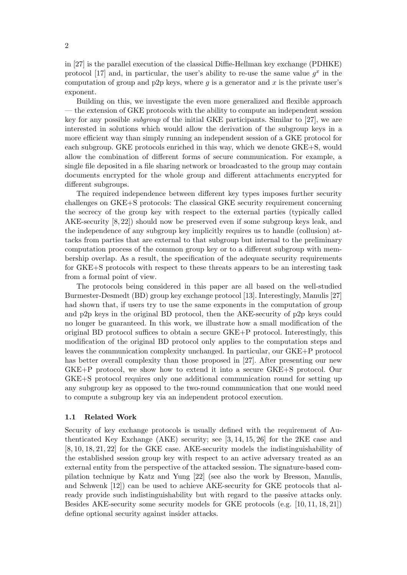in [27] is the parallel execution of the classical Diffie-Hellman key exchange (PDHKE) protocol [17] and, in particular, the user's ability to re-use the same value  $g^x$  in the computation of group and p2p keys, where g is a generator and x is the private user's exponent.

Building on this, we investigate the even more generalized and flexible approach — the extension of GKE protocols with the ability to compute an independent session key for any possible subgroup of the initial GKE participants. Similar to [27], we are interested in solutions which would allow the derivation of the subgroup keys in a more efficient way than simply running an independent session of a GKE protocol for each subgroup. GKE protocols enriched in this way, which we denote GKE+S, would allow the combination of different forms of secure communication. For example, a single file deposited in a file sharing network or broadcasted to the group may contain documents encrypted for the whole group and different attachments encrypted for different subgroups.

The required independence between different key types imposes further security challenges on GKE+S protocols: The classical GKE security requirement concerning the secrecy of the group key with respect to the external parties (typically called AKE-security [8, 22]) should now be preserved even if some subgroup keys leak, and the independence of any subgroup key implicitly requires us to handle (collusion) attacks from parties that are external to that subgroup but internal to the preliminary computation process of the common group key or to a different subgroup with membership overlap. As a result, the specification of the adequate security requirements for GKE+S protocols with respect to these threats appears to be an interesting task from a formal point of view.

The protocols being considered in this paper are all based on the well-studied Burmester-Desmedt (BD) group key exchange protocol [13]. Interestingly, Manulis [27] had shown that, if users try to use the same exponents in the computation of group and p2p keys in the original BD protocol, then the AKE-security of p2p keys could no longer be guaranteed. In this work, we illustrate how a small modification of the original BD protocol suffices to obtain a secure GKE+P protocol. Interestingly, this modification of the original BD protocol only applies to the computation steps and leaves the communication complexity unchanged. In particular, our GKE+P protocol has better overall complexity than those proposed in [27]. After presenting our new GKE+P protocol, we show how to extend it into a secure GKE+S protocol. Our GKE+S protocol requires only one additional communication round for setting up any subgroup key as opposed to the two-round communication that one would need to compute a subgroup key via an independent protocol execution.

#### 1.1 Related Work

Security of key exchange protocols is usually defined with the requirement of Authenticated Key Exchange (AKE) security; see [3, 14, 15, 26] for the 2KE case and [8, 10, 18, 21, 22] for the GKE case. AKE-security models the indistinguishability of the established session group key with respect to an active adversary treated as an external entity from the perspective of the attacked session. The signature-based compilation technique by Katz and Yung [22] (see also the work by Bresson, Manulis, and Schwenk [12]) can be used to achieve AKE-security for GKE protocols that already provide such indistinguishability but with regard to the passive attacks only. Besides AKE-security some security models for GKE protocols (e.g. [10, 11, 18, 21]) define optional security against insider attacks.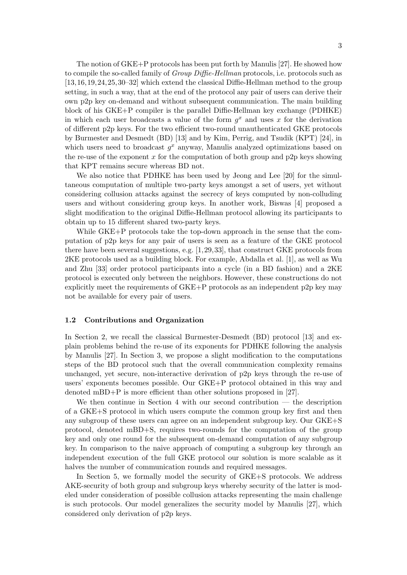The notion of GKE+P protocols has been put forth by Manulis [27]. He showed how to compile the so-called family of *Group Diffie-Hellman* protocols, i.e. protocols such as [13,16,19,24,25,30–32] which extend the classical Diffie-Hellman method to the group setting, in such a way, that at the end of the protocol any pair of users can derive their own p2p key on-demand and without subsequent communication. The main building block of his GKE+P compiler is the parallel Diffie-Hellman key exchange (PDHKE) in which each user broadcasts a value of the form  $g^x$  and uses x for the derivation of different p2p keys. For the two efficient two-round unauthenticated GKE protocols by Burmester and Desmedt (BD) [13] and by Kim, Perrig, and Tsudik (KPT) [24], in which users need to broadcast  $g^x$  anyway, Manulis analyzed optimizations based on the re-use of the exponent x for the computation of both group and p2p keys showing that KPT remains secure whereas BD not.

We also notice that PDHKE has been used by Jeong and Lee [20] for the simultaneous computation of multiple two-party keys amongst a set of users, yet without considering collusion attacks against the secrecy of keys computed by non-colluding users and without considering group keys. In another work, Biswas [4] proposed a slight modification to the original Diffie-Hellman protocol allowing its participants to obtain up to 15 different shared two-party keys.

While GKE+P protocols take the top-down approach in the sense that the computation of p2p keys for any pair of users is seen as a feature of the GKE protocol there have been several suggestions, e.g. [1,29,33], that construct GKE protocols from 2KE protocols used as a building block. For example, Abdalla et al. [1], as well as Wu and Zhu [33] order protocol participants into a cycle (in a BD fashion) and a 2KE protocol is executed only between the neighbors. However, these constructions do not explicitly meet the requirements of GKE+P protocols as an independent p2p key may not be available for every pair of users.

## 1.2 Contributions and Organization

In Section 2, we recall the classical Burmester-Desmedt (BD) protocol [13] and explain problems behind the re-use of its exponents for PDHKE following the analysis by Manulis [27]. In Section 3, we propose a slight modification to the computations steps of the BD protocol such that the overall communication complexity remains unchanged, yet secure, non-interactive derivation of p2p keys through the re-use of users' exponents becomes possible. Our GKE+P protocol obtained in this way and denoted mBD+P is more efficient than other solutions proposed in [27].

We then continue in Section 4 with our second contribution  $-$  the description of a GKE+S protocol in which users compute the common group key first and then any subgroup of these users can agree on an independent subgroup key. Our GKE+S protocol, denoted mBD+S, requires two-rounds for the computation of the group key and only one round for the subsequent on-demand computation of any subgroup key. In comparison to the naive approach of computing a subgroup key through an independent execution of the full GKE protocol our solution is more scalable as it halves the number of communication rounds and required messages.

In Section 5, we formally model the security of GKE+S protocols. We address AKE-security of both group and subgroup keys whereby security of the latter is modeled under consideration of possible collusion attacks representing the main challenge is such protocols. Our model generalizes the security model by Manulis [27], which considered only derivation of p2p keys.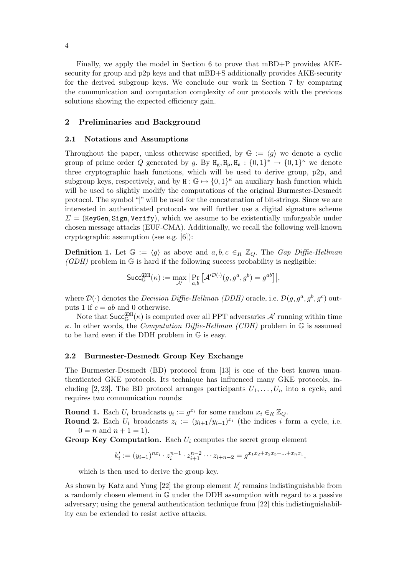Finally, we apply the model in Section 6 to prove that mBD+P provides AKEsecurity for group and p2p keys and that mBD+S additionally provides AKE-security for the derived subgroup keys. We conclude our work in Section 7 by comparing the communication and computation complexity of our protocols with the previous solutions showing the expected efficiency gain.

#### 2 Preliminaries and Background

#### 2.1 Notations and Assumptions

Throughout the paper, unless otherwise specified, by  $\mathbb{G} := \langle g \rangle$  we denote a cyclic group of prime order Q generated by g. By  $H_g, H_p, H_s: \{0,1\}^* \to \{0,1\}^{\kappa}$  we denote three cryptographic hash functions, which will be used to derive group, p2p, and subgroup keys, respectively, and by  $H : \mathbb{G} \mapsto \{0, 1\}^{\kappa}$  an auxiliary hash function which will be used to slightly modify the computations of the original Burmester-Desmedt protocol. The symbol "|" will be used for the concatenation of bit-strings. Since we are interested in authenticated protocols we will further use a digital signature scheme  $\Sigma =$  (KeyGen, Sign, Verify), which we assume to be existentially unforgeable under chosen message attacks (EUF-CMA). Additionally, we recall the following well-known cryptographic assumption (see e.g. [6]):

**Definition 1.** Let  $\mathbb{G} := \langle g \rangle$  as above and  $a, b, c \in_R \mathbb{Z}_Q$ . The Gap Diffie-Hellman  $(GDH)$  problem in  $\mathbb G$  is hard if the following success probability is negligible:

$$
\mathsf{Succ}_{\mathbb{G}}^{\mathsf{GDH}}(\kappa) := \max_{\mathcal{A}'} \big| \Pr_{a,b} \big[ \mathcal{A}'^{\mathcal{D}(\cdot)}(g, g^a, g^b) = g^{ab} \big] \big|,
$$

where  $\mathcal{D}(\cdot)$  denotes the *Decision Diffie-Hellman (DDH)* oracle, i.e.  $\mathcal{D}(g, g^a, g^b, g^c)$  outputs 1 if  $c = ab$  and 0 otherwise.

Note that  $\mathsf{Succ}_{\mathbb{G}}^{\mathtt{GDH}}(\kappa)$  is computed over all PPT adversaries  $\mathcal{A}'$  running within time κ. In other words, the *Computation Diffie-Hellman (CDH)* problem in  $\mathbb{G}$  is assumed to be hard even if the DDH problem in G is easy.

#### 2.2 Burmester-Desmedt Group Key Exchange

The Burmester-Desmedt (BD) protocol from [13] is one of the best known unauthenticated GKE protocols. Its technique has influenced many GKE protocols, including [2, 23]. The BD protocol arranges participants  $U_1, \ldots, U_n$  into a cycle, and requires two communication rounds:

**Round 1.** Each  $U_i$  broadcasts  $y_i := g^{x_i}$  for some random  $x_i \in_R \mathbb{Z}_Q$ .

**Round 2.** Each  $U_i$  broadcasts  $z_i := (y_{i+1}/y_{i-1})^{x_i}$  (the indices i form a cycle, i.e.  $0 = n$  and  $n + 1 = 1$ .

Group Key Computation. Each  $U_i$  computes the secret group element

$$
k'_i := (y_{i-1})^{nx_i} \cdot z_i^{n-1} \cdot z_{i+1}^{n-2} \cdots z_{i+n-2} = g^{x_1x_2 + x_2x_3 + \cdots + x_nx_1},
$$

which is then used to derive the group key.

As shown by Katz and Yung [22] the group element  $k_i'$  $i<sub>i</sub>$  remains indistinguishable from a randomly chosen element in G under the DDH assumption with regard to a passive adversary; using the general authentication technique from [22] this indistinguishability can be extended to resist active attacks.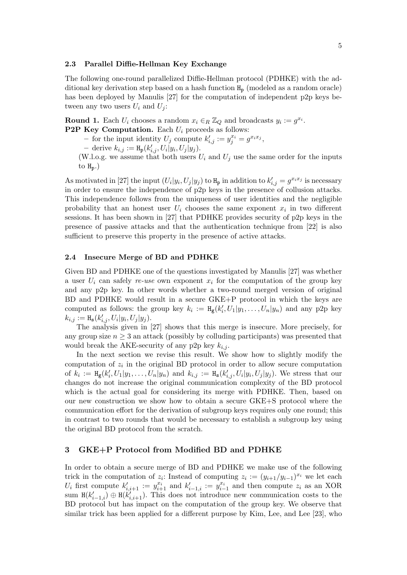#### 2.3 Parallel Diffie-Hellman Key Exchange

The following one-round parallelized Diffie-Hellman protocol (PDHKE) with the additional key derivation step based on a hash function  $H_p$  (modeled as a random oracle) has been deployed by Manulis [27] for the computation of independent p2p keys between any two users  $U_i$  and  $U_j$ :

**Round 1.** Each  $U_i$  chooses a random  $x_i \in_R \mathbb{Z}_Q$  and broadcasts  $y_i := g^{x_i}$ . **P2P Key Computation.** Each  $U_i$  proceeds as follows:

- for the input identity  $U_j$  compute  $k'_{i,j} := y_j^{x_i} = g^{x_i x_j}$ ,

- derive  $k_{i,j} := H_p(k'_{i,j}, U_i|y_i, U_j|y_j)$ .

(W.l.o.g. we assume that both users  $U_i$  and  $U_j$  use the same order for the inputs to  $H_p$ .)

As motivated in [27] the input  $(U_i|y_i, U_j|y_j)$  to  $H_p$  in addition to  $k'_{i,j} = g^{x_ix_j}$  is necessary in order to ensure the independence of p2p keys in the presence of collusion attacks. This independence follows from the uniqueness of user identities and the negligible probability that an honest user  $U_i$  chooses the same exponent  $x_i$  in two different sessions. It has been shown in [27] that PDHKE provides security of p2p keys in the presence of passive attacks and that the authentication technique from [22] is also sufficient to preserve this property in the presence of active attacks.

# 2.4 Insecure Merge of BD and PDHKE

Given BD and PDHKE one of the questions investigated by Manulis [27] was whether a user  $U_i$  can safely re-use own exponent  $x_i$  for the computation of the group key and any p2p key. In other words whether a two-round merged version of original BD and PDHKE would result in a secure GKE+P protocol in which the keys are computed as follows: the group key  $k_i := H_{\mathsf{g}}(k_i)$  $U'_i, U_1|y_1, \ldots, U_n|y_n)$  and any p2p key  $k_{i,j} := H_{\rm s}(k'_{i,j}, U_i|y_i, U_j|y_j).$ 

The analysis given in [27] shows that this merge is insecure. More precisely, for any group size  $n \geq 3$  an attack (possibly by colluding participants) was presented that would break the AKE-security of any p2p key  $k_{i,j}$ .

In the next section we revise this result. We show how to slightly modify the computation of  $z_i$  in the original BD protocol in order to allow secure computation of  $k_i := H_{\mathsf{g}}(k'_i)$  $i'_i, U_1|y_1,\ldots,U_n|y_n$  and  $k_{i,j} := H_s(k'_{i,j}, U_i|y_i, U_j|y_j)$ . We stress that our changes do not increase the original communication complexity of the BD protocol which is the actual goal for considering its merge with PDHKE. Then, based on our new construction we show how to obtain a secure GKE+S protocol where the communication effort for the derivation of subgroup keys requires only one round; this in contrast to two rounds that would be necessary to establish a subgroup key using the original BD protocol from the scratch.

# 3 GKE+P Protocol from Modified BD and PDHKE

In order to obtain a secure merge of BD and PDHKE we make use of the following trick in the computation of  $z_i$ : Instead of computing  $z_i := (y_{i+1}/y_{i-1})^{x_i}$  we let each  $U_i$  first compute  $k'_{i,i+1} := y_{i+1}^{x_i}$  and  $k'_{i-1,i} := y_{i-1}^{x_i}$  and then compute  $z_i$  as an XOR sum  $H(k'_{i-1,i}) \oplus H(k'_{i,i+1})$ . This does not introduce new communication costs to the BD protocol but has impact on the computation of the group key. We observe that similar trick has been applied for a different purpose by Kim, Lee, and Lee [23], who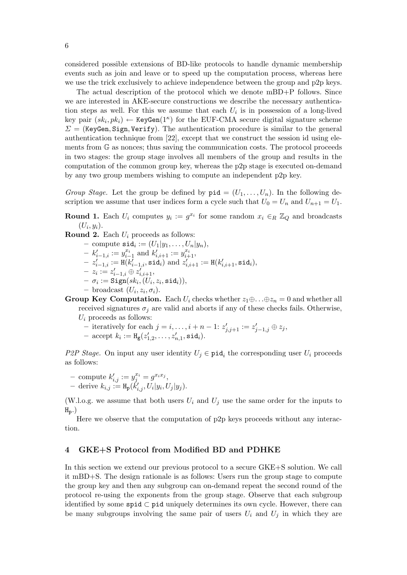considered possible extensions of BD-like protocols to handle dynamic membership events such as join and leave or to speed up the computation process, whereas here we use the trick exclusively to achieve independence between the group and p2p keys.

The actual description of the protocol which we denote mBD+P follows. Since we are interested in AKE-secure constructions we describe the necessary authentication steps as well. For this we assume that each  $U_i$  is in possession of a long-lived key pair  $(sk_i, pk_i) \leftarrow \text{KeyGen}(1^{\kappa})$  for the EUF-CMA secure digital signature scheme  $\Sigma =$  (KeyGen, Sign, Verify). The authentication procedure is similar to the general authentication technique from [22], except that we construct the session id using elements from G as nonces; thus saving the communication costs. The protocol proceeds in two stages: the group stage involves all members of the group and results in the computation of the common group key, whereas the p2p stage is executed on-demand by any two group members wishing to compute an independent p2p key.

Group Stage. Let the group be defined by  $\text{pid} = (U_1, \ldots, U_n)$ . In the following description we assume that user indices form a cycle such that  $U_0 = U_n$  and  $U_{n+1} = U_1$ .

**Round 1.** Each  $U_i$  computes  $y_i := g^{x_i}$  for some random  $x_i \in_R \mathbb{Z}_Q$  and broadcasts  $(U_i, y_i)$ .

**Round 2.** Each  $U_i$  proceeds as follows:

- $-$  compute  $\mathtt{sid}_i := (U_1|y_1, \ldots, U_n|y_n),$
- $-k'_{i-1,i} := y_{i-1}^{x_i}$  and  $k'_{i,i+1} := y_{i+1}^{x_i}$ ,
- $-\sum_{i=1,i}^{i} := \text{H}(\mathbf{k}_{i-1,i}^{\prime}, \texttt{sid}_i) \text{ and } \mathbf{k}_{i,i+1}^{\prime \prime} := \text{H}(\mathbf{k}_{i,i+1}^{\prime}, \texttt{sid}_i),$
- $-z_i := z'_{i-1,i} \oplus z'_{i,i+1},$
- $\begin{aligned} \begin{aligned} \textstyle{-\ \sigma_i := \texttt{Sign}(sk_i, (U_i, z_i, \texttt{sid}_i))}, \end{aligned} \end{aligned}$
- $-$  broadcast  $(U_i, z_i, \sigma_i)$ .
- Group Key Computation. Each  $U_i$  checks whether  $z_1 \oplus \ldots \oplus z_n = 0$  and whether all received signatures  $\sigma_j$  are valid and aborts if any of these checks fails. Otherwise,  $U_i$  proceeds as follows:
	- iteratively for each  $j = i, \ldots, i + n 1$ :  $z'_{j,j+1} := z'_{j-1,j} \oplus z_j$ ,
	- accept  $k_i := H_{\mathsf{g}}(z_1)$  $z'_{1,2}, \ldots, z'_{n,1}, \texttt{sid}_i).$

P2P Stage. On input any user identity  $U_j \in \text{pid}_i$  the corresponding user  $U_i$  proceeds as follows:

- compute  $k'_{i,j} := y_j^{x_i} = g^{x_i x_j},$
- $-$  derive  $k_{i,j} := H_{\mathbf{p}}(k'_{i,j}, U_i | y_i, U_j | y_j).$

(W.l.o.g. we assume that both users  $U_i$  and  $U_j$  use the same order for the inputs to  $H_p$ .)

Here we observe that the computation of p2p keys proceeds without any interaction.

# 4 GKE+S Protocol from Modified BD and PDHKE

In this section we extend our previous protocol to a secure GKE+S solution. We call it mBD+S. The design rationale is as follows: Users run the group stage to compute the group key and then any subgroup can on-demand repeat the second round of the protocol re-using the exponents from the group stage. Observe that each subgroup identified by some spid ⊂ pid uniquely determines its own cycle. However, there can be many subgroups involving the same pair of users  $U_i$  and  $U_j$  in which they are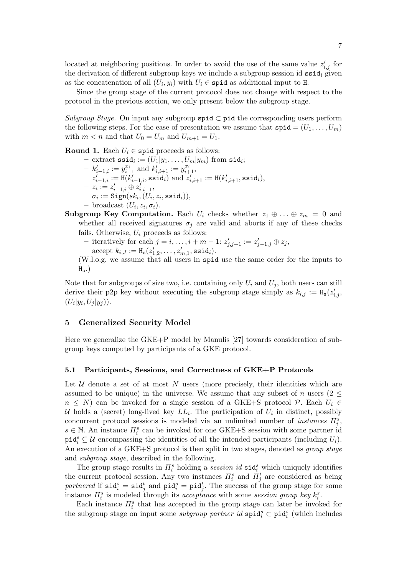located at neighboring positions. In order to avoid the use of the same value  $z'_{i,j}$  for the derivation of different subgroup keys we include a subgroup session id  $ssi d_i$  given as the concatenation of all  $(U_i, y_i)$  with  $U_i \in \text{spid}$  as additional input to H.

Since the group stage of the current protocol does not change with respect to the protocol in the previous section, we only present below the subgroup stage.

Subgroup Stage. On input any subgroup spid  $\subset$  pid the corresponding users perform the following steps. For the ease of presentation we assume that  $\text{spid} = (U_1, \ldots, U_m)$ with  $m < n$  and that  $U_0 = U_m$  and  $U_{m+1} = U_1$ .

Round 1. Each  $U_i \in \text{spid proceeds as follows:}$ 

- $-$  extract  $\texttt{ssid}_i := (U_1|y_1, \ldots, U_m|y_m) \text{ from } \texttt{sid}_i;$  $-k'_{i-1,i} := y_{i-1}^{x_i}$  and  $k'_{i,i+1} := y_{i+1}^{x_i}$ ,  $-z_{i-1,i}^{\prime} := \text{H}(\mathcal{k}_{i-1,i}^{\prime}, \texttt{ssid}_i) \text{ and } z_{i,i+1}^{\prime \prime} := \text{H}(\mathcal{k}_{i,i+1}^{\prime}, \texttt{ssid}_i),$  $-z_i := z'_{i-1,i} \oplus z'_{i,i+1},$  $\begin{aligned} \textstyle{-} \ \ \sigma_i := \texttt{Sign}(sk_i, (U_i, z_i, \texttt{ssid}_i)), \end{aligned}$  $-$  broadcast  $(U_i, z_i, \sigma_i)$ .
- Subgroup Key Computation. Each  $U_i$  checks whether  $z_1 \oplus \ldots \oplus z_m = 0$  and whether all received signatures  $\sigma_i$  are valid and aborts if any of these checks fails. Otherwise,  $U_i$  proceeds as follows:
	- iteratively for each  $j = i, \ldots, i + m 1$ :  $z'_{j,j+1} := z'_{j-1,j} \oplus z_j$ ,
	- accept  $k_{i,J} := H_{\mathbf{s}}(z_1')$  $\chi_{1,2}^{\prime},\ldots,z_{m,1}^{\prime},$  ssid $_i$ ).
	- (W.l.o.g. we assume that all users in spid use the same order for the inputs to  $H_s$ .)

Note that for subgroups of size two, i.e. containing only  $U_i$  and  $U_j$ , both users can still derive their p2p key without executing the subgroup stage simply as  $k_{i,j} := H_s(z'_{i,j},$  $(U_i|y_i, U_j|y_j)).$ 

#### 5 Generalized Security Model

Here we generalize the GKE+P model by Manulis [27] towards consideration of subgroup keys computed by participants of a GKE protocol.

#### 5.1 Participants, Sessions, and Correctness of GKE+P Protocols

Let  $U$  denote a set of at most N users (more precisely, their identities which are assumed to be unique) in the universe. We assume that any subset of n users (2  $\leq$  $n \leq N$ ) can be invoked for a single session of a GKE+S protocol  $\mathcal{P}$ . Each  $U_i \in$ U holds a (secret) long-lived key  $LL_i$ . The participation of  $U_i$  in distinct, possibly concurrent protocol sessions is modeled via an unlimited number of *instances*  $\Pi_i^s$ ,  $s \in \mathbb{N}$ . An instance  $\Pi_i^s$  can be invoked for one GKE+S session with some partner id  $\text{pid}_i^s \subseteq \mathcal{U}$  encompassing the identities of all the intended participants (including  $U_i$ ). An execution of a GKE+S protocol is then split in two stages, denoted as *group stage* and subgroup stage, described in the following.

The group stage results in  $\Pi_i^s$  holding a *session id*  $\text{sid}_i^s$  which uniquely identifies the current protocol session. Any two instances  $\Pi_i^s$  and  $\Pi_j^t$  are considered as being partnered if  $\text{sid}_i^s = \text{sid}_j^t$  and  $\text{pid}_i^s = \text{pid}_j^t$ . The success of the group stage for some instance  $\Pi_i^s$  is modeled through its acceptance with some session group key  $k_i^s$ .

Each instance  $\Pi_i^s$  that has accepted in the group stage can later be invoked for the subgroup stage on input some *subgroup partner id*  $\text{spid}_i^s \subset \text{pid}_i^s$  (which includes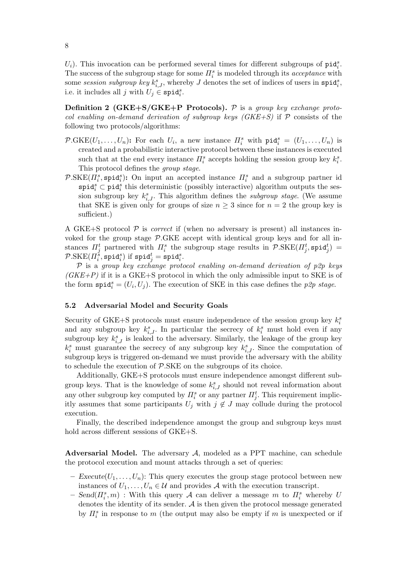$U_i$ ). This invocation can be performed several times for different subgroups of  $\text{pid}_i^s$ . The success of the subgroup stage for some  $\prod_{i=1}^{s}$  is modeled through its *acceptance* with some session subgroup key  $k_{i,J}^s$ , whereby J denotes the set of indices of users in  $\text{spid}_i^s$ , i.e. it includes all j with  $U_j \in \text{spid}_i^s$ .

**Definition 2 (GKE+S/GKE+P Protocols).**  $P$  is a group key exchange protocol enabling on-demand derivation of subgroup keys  $(GKE+S)$  if P consists of the following two protocols/algorithms:

- $\mathcal{P}\text{-GKE}(U_1,\ldots,U_n)$ : For each  $U_i$ , a new instance  $\Pi_i^s$  with  $\text{pid}_i^s = (U_1,\ldots,U_n)$  is created and a probabilistic interactive protocol between these instances is executed such that at the end every instance  $\Pi_i^s$  accepts holding the session group key  $k_i^s$ . This protocol defines the group stage.
- $\mathcal{P}.\text{SKE}(I_i^s, \texttt{spid}_i^s)$ : On input an accepted instance  $I_i^s$  and a subgroup partner id spi $\mathbf{d}_i^s \subset \text{pid}_i^s$  this deterministic (possibly interactive) algorithm outputs the session subgroup key  $k_{i,J}^s$ . This algorithm defines the *subgroup stage*. (We assume that SKE is given only for groups of size  $n \geq 3$  since for  $n = 2$  the group key is sufficient.)

A GKE+S protocol  $\mathcal P$  is *correct* if (when no adversary is present) all instances invoked for the group stage  $P.GKE$  accept with identical group keys and for all instances  $\Pi_j^t$  partnered with  $\Pi_i^s$  the subgroup stage results in  $\mathcal{P}.\text{SKE}(\Pi_j^t, \texttt{spid}_j^t)$  $\mathcal{P}\text{-SKE}(\varPi_i^{\check{s}}, \mathtt{spid}_i^s) \text{ if } \mathtt{spid}_j^t = \mathtt{spid}_i^s.$ 

 $P$  is a group key exchange protocol enabling on-demand derivation of p2p keys  $(GKE+P)$  if it is a GKE+S protocol in which the only admissible input to SKE is of the form  $\text{spid}_i^s = (U_i, U_j)$ . The execution of SKE in this case defines the p2p stage.

#### 5.2 Adversarial Model and Security Goals

Security of GKE+S protocols must ensure independence of the session group key  $k_i^s$ and any subgroup key  $k_{i,j}^s$ . In particular the secrecy of  $k_i^s$  must hold even if any subgroup key  $k_{i,J}^s$  is leaked to the adversary. Similarly, the leakage of the group key  $k_i^s$  must guarantee the secrecy of any subgroup key  $k_{i,j}^s$ . Since the computation of subgroup keys is triggered on-demand we must provide the adversary with the ability to schedule the execution of P.SKE on the subgroups of its choice.

Additionally, GKE+S protocols must ensure independence amongst different subgroup keys. That is the knowledge of some  $k_{i,J}^s$  should not reveal information about any other subgroup key computed by  $\Pi_i^s$  or any partner  $\Pi_j^t$ . This requirement implicitly assumes that some participants  $U_j$  with  $j \notin J$  may collude during the protocol execution.

Finally, the described independence amongst the group and subgroup keys must hold across different sessions of GKE+S.

Adversarial Model. The adversary  $A$ , modeled as a PPT machine, can schedule the protocol execution and mount attacks through a set of queries:

- Execute $(U_1, \ldots, U_n)$ : This query executes the group stage protocol between new instances of  $U_1, \ldots, U_n \in \mathcal{U}$  and provides A with the execution transcript.
- $-$  Send $(\Pi_i^s, m)$ : With this query A can deliver a message m to  $\Pi_i^s$  whereby U denotes the identity of its sender.  $A$  is then given the protocol message generated by  $\prod_{i=1}^{s}$  in response to m (the output may also be empty if m is unexpected or if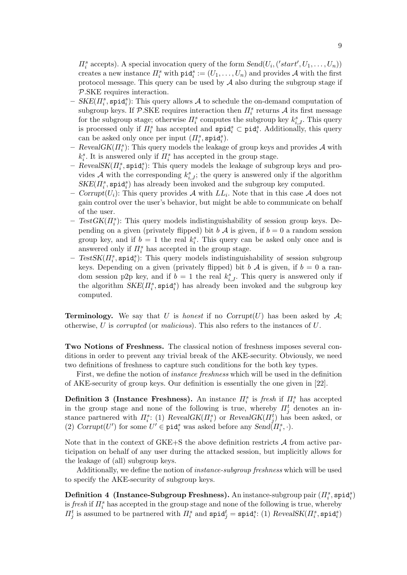$\Pi_i^s$  accepts). A special invocation query of the form  $Send(U_i, ('start', U_1, \ldots, U_n))$ creates a new instance  $\Pi_i^s$  with  $\text{pid}_i^s := (U_1, \ldots, U_n)$  and provides A with the first protocol message. This query can be used by  $A$  also during the subgroup stage if P.SKE requires interaction.

- $-$  SKE( $\Pi_i^s$ , spid $_i^s$ ): This query allows A to schedule the on-demand computation of subgroup keys. If  $\mathcal{P}.\text{SKE}$  requires interaction then  $\Pi^{s}_{i}$  returns  $\mathcal{A}$  its first message for the subgroup stage; otherwise  $\Pi_i^s$  computes the subgroup key  $k_{i,J}^s$ . This query is processed only if  $\Pi_i^s$  has accepted and  $\texttt{spid}_i^s \subset \texttt{pid}_i^s$ . Additionally, this query can be asked only once per input  $(\Pi_i^s, \text{spid}_i^s)$ .
- RevealGK $(H_i^s)$ : This query models the leakage of group keys and provides A with  $k_i^s$ . It is answered only if  $\Pi_i^s$  has accepted in the group stage.
- $-$  RevealSK( $\Pi_i^s$ , spid $_i^s$ ): This query models the leakage of subgroup keys and provides A with the corresponding  $k_{i,J}^s$ ; the query is answered only if the algorithm  $SKE(\Pi_i^s, \texttt{spid}_i^s)$  has already been invoked and the subgroup key computed.
- Corrupt $(U_i)$ : This query provides A with  $LL_i$ . Note that in this case A does not gain control over the user's behavior, but might be able to communicate on behalf of the user.
- $-$  TestGK( $\Pi_i^s$ ): This query models indistinguishability of session group keys. Depending on a given (privately flipped) bit b  $\mathcal A$  is given, if  $b = 0$  a random session group key, and if  $b = 1$  the real  $k_i^s$ . This query can be asked only once and is answered only if  $\Pi_i^s$  has accepted in the group stage.
- $-$  TestSK( $\Pi_i^s$ , spid $_i^s$ ): This query models indistinguishability of session subgroup keys. Depending on a given (privately flipped) bit b A is given, if  $b = 0$  a random session p2p key, and if  $b = 1$  the real  $k_{i,J}^s$ . This query is answered only if the algorithm  $SKE(\Pi_i^s, \texttt{spid}_i^s)$  has already been invoked and the subgroup key computed.

**Terminology.** We say that U is honest if no Corrupt $(U)$  has been asked by A; otherwise, U is *corrupted* (or *malicious*). This also refers to the instances of U.

Two Notions of Freshness. The classical notion of freshness imposes several conditions in order to prevent any trivial break of the AKE-security. Obviously, we need two definitions of freshness to capture such conditions for the both key types.

First, we define the notion of instance freshness which will be used in the definition of AKE-security of group keys. Our definition is essentially the one given in [22].

**Definition 3 (Instance Freshness).** An instance  $\Pi_i^s$  is fresh if  $\Pi_i^s$  has accepted in the group stage and none of the following is true, whereby  $\Pi_j^t$  denotes an instance partnered with  $\Pi_i^s$ : (1) RevealGK $(\Pi_i^s)$  or RevealGK $(\Pi_j^t)$  has been asked, or (2) Corrupt $(U')$  for some  $U' \in \text{pid}_i^s$  was asked before any  $Send(\overline{H}_i^s, \cdot)$ .

Note that in the context of GKE+S the above definition restricts  $A$  from active participation on behalf of any user during the attacked session, but implicitly allows for the leakage of (all) subgroup keys.

Additionally, we define the notion of instance-subgroup freshness which will be used to specify the AKE-security of subgroup keys.

 $\mathbf{Definition \ 4 \ \ (Instance\-\>Subgroup \ \ \mathbf{Freshness}). \ An \ \ \text{instance-subgroup pair} \ (H_i^s, \mathsf{spid}_i^s)$ is *fresh* if  $\Pi_i^s$  has accepted in the group stage and none of the following is true, whereby  $\Pi_j^t$  is assumed to be partnered with  $\Pi_i^s$  and  $\texttt{spid}_j^t = \texttt{spid}_i^s$ : (1)  $RevealSK(\Pi_i^s, \texttt{spid}_i^s)$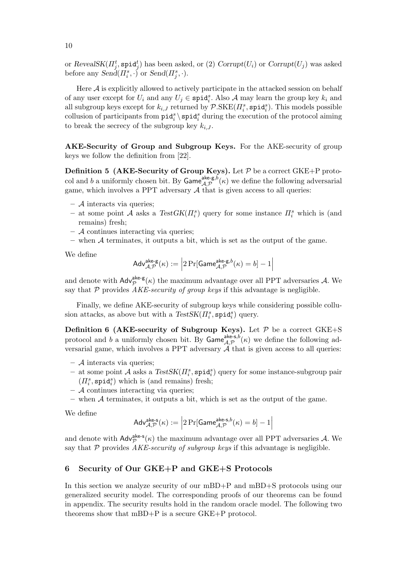or  $Reveal SK(\Pi_j^t, \texttt{spid}_j^t)$  has been asked, or (2)  $Corrupt(U_i)$  or  $Corrupt(U_j)$  was asked before any  $\text{Send}(H_i^s, \cdot)$  or  $\text{Send}(H_j^s, \cdot)$ .

Here  $A$  is explicitly allowed to actively participate in the attacked session on behalf of any user except for  $U_i$  and any  $U_j \in \text{spid}_i^s$ . Also A may learn the group key  $k_i$  and all subgroup keys except for  $k_{i,J}$  returned by  $\mathcal{P}.\text{SKE}(\Pi_i^s, \texttt{spid}_i^s)$ . This models possible collusion of participants from  $\text{pid}_i^s \setminus \text{spid}_i^s$  during the execution of the protocol aiming to break the secrecy of the subgroup key  $k_{i,J}$ .

AKE-Security of Group and Subgroup Keys. For the AKE-security of group keys we follow the definition from [22].

**Definition 5 (AKE-Security of Group Keys).** Let  $P$  be a correct GKE+P protocol and b a uniformly chosen bit. By  $\mathsf{Game}^{\mathsf{ake}\text{-}g,b}_{\mathcal{A},\mathcal{P}}(\kappa)$  we define the following adversarial game, which involves a PPT adversary  $A$  that is given access to all queries:

- $-$  A interacts via queries;
- at some point A asks a  $TestGK(\Pi_i^s)$  query for some instance  $\Pi_i^s$  which is (and remains) fresh;
- $-$  A continues interacting via queries;
- when  $A$  terminates, it outputs a bit, which is set as the output of the game.

We define

$$
\mathsf{Adv}_{\mathcal{A},\mathcal{P}}^{\mathsf{ake-g}}(\kappa) := \Big| 2 \Pr[\mathsf{Game}_{\mathcal{A},\mathcal{P}}^{\mathsf{ake-g},b}(\kappa) = b] - 1 \Big|
$$

and denote with  $\mathsf{Adv}_{\mathcal{P}}^{\mathsf{ake-g}}(\kappa)$  the maximum advantage over all PPT adversaries A. We say that  $P$  provides *AKE-security of group keys* if this advantage is negligible.

Finally, we define AKE-security of subgroup keys while considering possible collusion attacks, as above but with a  $TestSK(\Pi_i^s, \texttt{spid}_i^s)$  query.

Definition 6 (AKE-security of Subgroup Keys). Let  $P$  be a correct GKE+S protocol and b a uniformly chosen bit. By  $\mathsf{Game}^{\mathsf{ake-s},b}_{\mathcal{A},\mathcal{P}}(\kappa)$  we define the following adversarial game, which involves a PPT adversary  $\mathcal A$  that is given access to all queries:

- $-$  A interacts via queries;
- at some point  $A$  asks a  $TestSK(\Pi_i^s, \text{spid}_i^s)$  query for some instance-subgroup pair  $(\Pi_i^s, \texttt{spid}_i^s)$  which is (and remains) fresh;
- $-$  A continues interacting via queries;
- when  $A$  terminates, it outputs a bit, which is set as the output of the game.

We define

$$
\mathsf{Adv}_{\mathcal{A},\mathcal{P}}^{\mathsf{ake-s}}(\kappa) := \left|2\Pr[\mathsf{Game}_{\mathcal{A},\mathcal{P}}^{\mathsf{ake-s},b}(\kappa) = b] - 1\right|
$$

and denote with  $\mathsf{Adv}_{\mathcal{P}}^{\mathsf{ake-s}}(\kappa)$  the maximum advantage over all PPT adversaries A. We say that  $P$  provides  $AKE$ -security of subgroup keys if this advantage is negligible.

# 6 Security of Our GKE+P and GKE+S Protocols

In this section we analyze security of our mBD+P and mBD+S protocols using our generalized security model. The corresponding proofs of our theorems can be found in appendix. The security results hold in the random oracle model. The following two theorems show that mBD+P is a secure GKE+P protocol.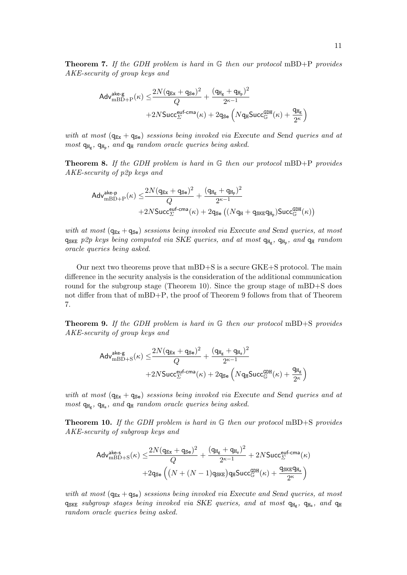**Theorem 7.** If the GDH problem is hard in  $\mathbb{G}$  then our protocol mBD+P provides AKE-security of group keys and

$$
\begin{aligned} \mathsf{Adv}_{\mathrm{mBD+P}}^{\mathrm{ake}\text{-}\mathrm{g}}(\kappa) \leq & \frac{2N(q_{\text{Ex}}+q_{\text{Se}})^2}{Q} + \frac{(q_{\text{Hg}}+q_{\text{Hp}})^2}{2^{\kappa-1}} \\ + & 2N \mathsf{Succ}_{\Sigma}^{\mathsf{euf\text{-}cma}}(\kappa) + 2q_{\mathsf{Se}}\left(N q_{\text{H}} \mathsf{Succ}_{\mathbb{G}}^{\mathsf{GDH}}(\kappa) + \frac{q_{\text{Hg}}}{2^{\kappa}}\right) \end{aligned}
$$

with at most  $(q_{Ex} + q_{Se})$  sessions being invoked via Execute and Send queries and at  $most$   $q_{H_g}$ ,  $q_{H_p}$ , and  $q_H$  random oracle queries being asked.

**Theorem 8.** If the GDH problem is hard in  $\mathbb{G}$  then our protocol mBD+P provides AKE-security of p2p keys and

$$
\begin{aligned} \mathsf{Adv}_{\mathrm{mBD+P}}^{\mathsf{ake-p}}(\kappa) \leq & \frac{2N(q_{\mathtt{Ex}}+q_{\mathtt{Se}})^2}{Q} + \frac{(q_{\mathtt{H_g}}+q_{\mathtt{H_p}})^2}{2^{\kappa-1}} \\ + & 2N \mathsf{Succ}_{\varSigma}^{\mathsf{euf-cma}}(\kappa) + 2q_{\mathtt{Se}}\left((Nq_{\mathtt{H}}+q_{\mathtt{SKE}}q_{\mathtt{H_p}})\mathsf{Succ}_{\mathbb{G}}^{\mathsf{GDH}}(\kappa)\right) \end{aligned}
$$

with at most  $(q_{Ex} + q_{Se})$  sessions being invoked via Execute and Send queries, at most  $q_{SKE}$  p2p keys being computed via SKE queries, and at most  $q_{H_g}$ ,  $q_{H_p}$ , and  $q_H$  random oracle queries being asked.

Our next two theorems prove that mBD+S is a secure GKE+S protocol. The main difference in the security analysis is the consideration of the additional communication round for the subgroup stage (Theorem 10). Since the group stage of mBD+S does not differ from that of mBD+P, the proof of Theorem 9 follows from that of Theorem 7.

**Theorem 9.** If the GDH problem is hard in G then our protocol mBD+S provides AKE-security of group keys and

$$
\begin{aligned} \mathsf{Adv}_{\mathrm{mBD+S}}^{\mathsf{ake-g}}(\kappa) \leq & \frac{2N(q_{\mathtt{Ex}}+q_{\mathtt{Se}})^2}{Q} + \frac{(q_{\mathtt{H_g}}+q_{\mathtt{H_s}})^2}{2^{\kappa-1}} \\ + & 2N \mathsf{Succ}_{\varSigma}^{\mathsf{euf-cma}}(\kappa) + 2q_{\mathsf{Se}}\left(N q_{\mathtt{H}} \mathsf{Succ}_{\mathbb{G}}^{\mathsf{QDH}}(\kappa) + \frac{q_{\mathtt{H_g}}}{2^{\kappa}}\right) \end{aligned}
$$

with at most  $(q_{Ex} + q_{Se})$  sessions being invoked via Execute and Send queries and at  $most$   $q_{H_g}$ ,  $q_{H_s}$ , and  $q_H$  random oracle queries being asked.

**Theorem 10.** If the GDH problem is hard in  $\mathbb{G}$  then our protocol mBD+S provides AKE-security of subgroup keys and

$$
\begin{aligned} \mathsf{Adv}_{\mathrm{mBD+S}}^{\mathsf{ake}\text{-s}}(\kappa) \leq & \frac{2N(\mathsf{q}_{\mathrm{Ex}}+\mathsf{q}_{\mathrm{Se}})^2}{Q} + \frac{(\mathsf{q}_{\mathrm{H_g}}+\mathsf{q}_{\mathrm{H_s}})^2}{2^{\kappa-1}} + 2N \mathsf{Succ}_{\mathcal{L}}^{\mathsf{euf}\text{-cma}}(\kappa) \\ + & 2\mathsf{q}_{\mathsf{Se}}\left((N+(N-1)\mathsf{q}_{\mathsf{SKE}})\mathsf{q}_{\mathsf{H}}\mathsf{Succ}_{\mathbb{G}}^{\mathsf{GDH}}(\kappa) + \frac{\mathsf{q}_{\mathsf{SKE}}\mathsf{q}_{\mathrm{H_s}}}{2^{\kappa}}\right) \end{aligned}
$$

with at most  $(q_{Ex} + q_{Se})$  sessions being invoked via Execute and Send queries, at most  $q_{SKE}$  subgroup stages being invoked via SKE queries, and at most  $q_{H_g}$ ,  $q_{H_s}$ , and  $q_H$ random oracle queries being asked.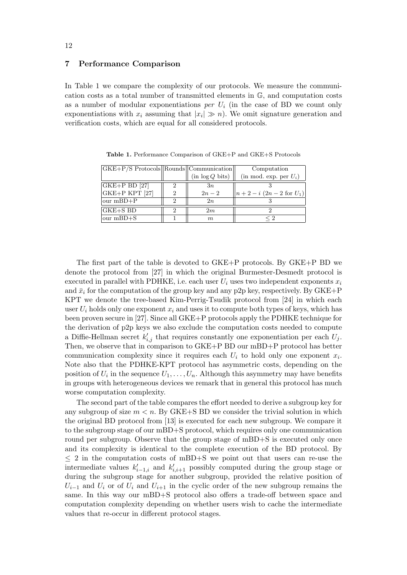# 7 Performance Comparison

In Table 1 we compare the complexity of our protocols. We measure the communication costs as a total number of transmitted elements in G, and computation costs as a number of modular exponentiations per  $U_i$  (in the case of BD we count only exponentiations with  $x_i$  assuming that  $|x_i| \gg n$ ). We omit signature generation and verification costs, which are equal for all considered protocols.

| $ GKE + P/S$ Protocols $  $ Rounds $  $ Communication $  $ |               |                 | Computation               |
|------------------------------------------------------------|---------------|-----------------|---------------------------|
|                                                            |               | (in log Q bits) | (in mod. exp. per $U_i$ ) |
| $ GKE+P BD$ [27]                                           |               | 3n              |                           |
| $ GKE+P KPT$ [27]                                          | $\mathcal{D}$ | $2n-2$          | $  n+2-i (2n-2 for U_1) $ |
| $ our mBD+P $                                              | $\Omega$      | 2n              |                           |
| $ {\rm GKE}{+}{\rm S}$ BD                                  | ച             | 2m              |                           |
| $\vert \text{our mBD} + S \vert$                           |               | m               | < າ                       |

Table 1. Performance Comparison of GKE+P and GKE+S Protocols

The first part of the table is devoted to GKE+P protocols. By GKE+P BD we denote the protocol from [27] in which the original Burmester-Desmedt protocol is executed in parallel with PDHKE, i.e. each user  $U_i$  uses two independent exponents  $x_i$ and  $\bar{x}_i$  for the computation of the group key and any p2p key, respectively. By GKE+P KPT we denote the tree-based Kim-Perrig-Tsudik protocol from [24] in which each user  $U_i$  holds only one exponent  $x_i$  and uses it to compute both types of keys, which has been proven secure in [27]. Since all GKE+P protocols apply the PDHKE technique for the derivation of p2p keys we also exclude the computation costs needed to compute a Diffie-Hellman secret  $k'_{i,j}$  that requires constantly one exponentiation per each  $U_j$ . Then, we observe that in comparison to GKE+P BD our mBD+P protocol has better communication complexity since it requires each  $U_i$  to hold only one exponent  $x_i$ . Note also that the PDHKE-KPT protocol has asymmetric costs, depending on the position of  $U_i$  in the sequence  $U_1, \ldots, U_n$ . Although this asymmetry may have benefits in groups with heterogeneous devices we remark that in general this protocol has much worse computation complexity.

The second part of the table compares the effort needed to derive a subgroup key for any subgroup of size  $m < n$ . By GKE+S BD we consider the trivial solution in which the original BD protocol from [13] is executed for each new subgroup. We compare it to the subgroup stage of our mBD+S protocol, which requires only one communication round per subgroup. Observe that the group stage of mBD+S is executed only once and its complexity is identical to the complete execution of the BD protocol. By  $\leq$  2 in the computation costs of mBD+S we point out that users can re-use the intermediate values  $k'_{i-1,i}$  and  $k'_{i,i+1}$  possibly computed during the group stage or during the subgroup stage for another subgroup, provided the relative position of  $U_{i-1}$  and  $U_i$  or of  $U_i$  and  $U_{i+1}$  in the cyclic order of the new subgroup remains the same. In this way our mBD+S protocol also offers a trade-off between space and computation complexity depending on whether users wish to cache the intermediate values that re-occur in different protocol stages.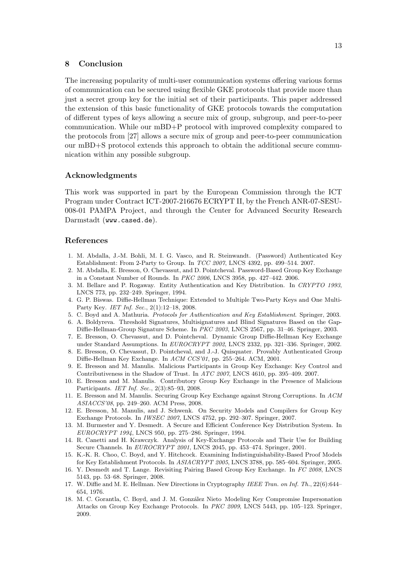# 8 Conclusion

The increasing popularity of multi-user communication systems offering various forms of communication can be secured using flexible GKE protocols that provide more than just a secret group key for the initial set of their participants. This paper addressed the extension of this basic functionality of GKE protocols towards the computation of different types of keys allowing a secure mix of group, subgroup, and peer-to-peer communication. While our mBD+P protocol with improved complexity compared to the protocols from [27] allows a secure mix of group and peer-to-peer communication our mBD+S protocol extends this approach to obtain the additional secure communication within any possible subgroup.

#### Acknowledgments

This work was supported in part by the European Commission through the ICT Program under Contract ICT-2007-216676 ECRYPT II, by the French ANR-07-SESU-008-01 PAMPA Project, and through the Center for Advanced Security Research Darmstadt (www.cased.de).

#### References

- 1. M. Abdalla, J.-M. Bohli, M. I. G. Vasco, and R. Steinwandt. (Password) Authenticated Key Establishment: From 2-Party to Group. In TCC 2007, LNCS 4392, pp. 499–514. 2007.
- 2. M. Abdalla, E. Bresson, O. Chevassut, and D. Pointcheval. Password-Based Group Key Exchange in a Constant Number of Rounds. In PKC 2006, LNCS 3958, pp. 427–442. 2006.
- 3. M. Bellare and P. Rogaway. Entity Authentication and Key Distribution. In CRYPTO 1993, LNCS 773, pp. 232–249. Springer, 1994.
- 4. G. P. Biswas. Diffie-Hellman Technique: Extended to Multiple Two-Party Keys and One Multi-Party Key. IET Inf. Sec., 2(1):12–18, 2008.
- 5. C. Boyd and A. Mathuria. Protocols for Authentication and Key Establishment. Springer, 2003.
- 6. A. Boldyreva. Threshold Signatures, Multisignatures and Blind Signatures Based on the Gap-Diffie-Hellman-Group Signature Scheme. In PKC 2003, LNCS 2567, pp. 31–46. Springer, 2003.
- 7. E. Bresson, O. Chevassut, and D. Pointcheval. Dynamic Group Diffie-Hellman Key Exchange under Standard Assumptions. In EUROCRYPT 2002, LNCS 2332, pp. 321–336. Springer, 2002.
- 8. E. Bresson, O. Chevassut, D. Pointcheval, and J.-J. Quisquater. Provably Authenticated Group Diffie-Hellman Key Exchange. In ACM CCS'01, pp. 255–264. ACM, 2001.
- 9. E. Bresson and M. Manulis. Malicious Participants in Group Key Exchange: Key Control and Contributiveness in the Shadow of Trust. In ATC 2007, LNCS 4610, pp. 395–409. 2007.
- 10. E. Bresson and M. Manulis. Contributory Group Key Exchange in the Presence of Malicious Participants. IET Inf. Sec., 2(3):85–93, 2008.
- 11. E. Bresson and M. Manulis. Securing Group Key Exchange against Strong Corruptions. In ACM ASIACCS'08, pp. 249–260. ACM Press, 2008.
- 12. E. Bresson, M. Manulis, and J. Schwenk. On Security Models and Compilers for Group Key Exchange Protocols. In IWSEC 2007, LNCS 4752, pp. 292–307. Springer, 2007.
- 13. M. Burmester and Y. Desmedt. A Secure and Efficient Conference Key Distribution System. In EUROCRYPT 1994, LNCS 950, pp. 275–286. Springer, 1994.
- 14. R. Canetti and H. Krawczyk. Analysis of Key-Exchange Protocols and Their Use for Building Secure Channels. In EUROCRYPT 2001, LNCS 2045, pp. 453–474. Springer, 2001.
- 15. K.-K. R. Choo, C. Boyd, and Y. Hitchcock. Examining Indistinguishability-Based Proof Models for Key Establishment Protocols. In ASIACRYPT 2005, LNCS 3788, pp. 585–604. Springer, 2005.
- 16. Y. Desmedt and T. Lange. Revisiting Pairing Based Group Key Exchange. In FC 2008, LNCS 5143, pp. 53–68. Springer, 2008.
- 17. W. Diffie and M. E. Hellman. New Directions in Cryptography IEEE Tran. on Inf. Th., 22(6):644– 654, 1976.
- 18. M. C. Gorantla, C. Boyd, and J. M. González Nieto Modeling Key Compromise Impersonation Attacks on Group Key Exchange Protocols. In PKC 2009, LNCS 5443, pp. 105–123. Springer, 2009.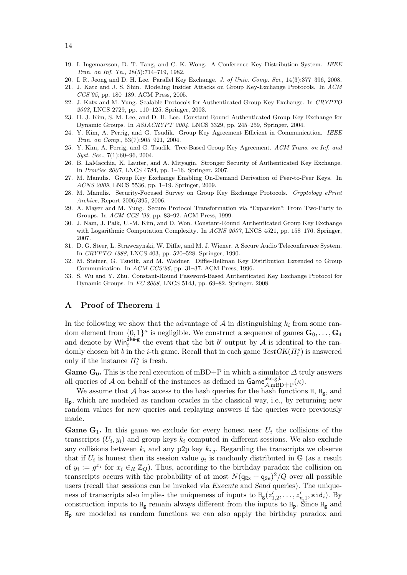- 19. I. Ingemarsson, D. T. Tang, and C. K. Wong. A Conference Key Distribution System. IEEE Tran. on Inf. Th., 28(5):714–719, 1982.
- 20. I. R. Jeong and D. H. Lee. Parallel Key Exchange. J. of Univ. Comp. Sci., 14(3):377–396, 2008.
- 21. J. Katz and J. S. Shin. Modeling Insider Attacks on Group Key-Exchange Protocols. In ACM CCS'05, pp. 180–189. ACM Press, 2005.
- 22. J. Katz and M. Yung. Scalable Protocols for Authenticated Group Key Exchange. In CRYPTO 2003, LNCS 2729, pp. 110–125. Springer, 2003.
- 23. H.-J. Kim, S.-M. Lee, and D. H. Lee. Constant-Round Authenticated Group Key Exchange for Dynamic Groups. In ASIACRYPT 2004, LNCS 3329, pp. 245–259, Springer, 2004.
- 24. Y. Kim, A. Perrig, and G. Tsudik. Group Key Agreement Efficient in Communication. IEEE Tran. on Comp., 53(7):905–921, 2004.
- 25. Y. Kim, A. Perrig, and G. Tsudik. Tree-Based Group Key Agreement. ACM Trans. on Inf. and Syst. Sec., 7(1):60–96, 2004.
- 26. B. LaMacchia, K. Lauter, and A. Mityagin. Stronger Security of Authenticated Key Exchange. In ProvSec 2007, LNCS 4784, pp. 1–16. Springer, 2007.
- 27. M. Manulis. Group Key Exchange Enabling On-Demand Derivation of Peer-to-Peer Keys. In ACNS 2009, LNCS 5536, pp. 1–19. Springer, 2009.
- 28. M. Manulis. Security-Focused Survey on Group Key Exchange Protocols. Cryptology ePrint Archive, Report 2006/395, 2006.
- 29. A. Mayer and M. Yung. Secure Protocol Transformation via "Expansion": From Two-Party to Groups. In ACM CCS '99, pp. 83–92. ACM Press, 1999.
- 30. J. Nam, J. Paik, U.-M. Kim, and D. Won. Constant-Round Authenticated Group Key Exchange with Logarithmic Computation Complexity. In ACNS 2007, LNCS 4521, pp. 158–176. Springer, 2007.
- 31. D. G. Steer, L. Strawczynski, W. Diffie, and M. J. Wiener. A Secure Audio Teleconference System. In CRYPTO 1988, LNCS 403, pp. 520–528. Springer, 1990.
- 32. M. Steiner, G. Tsudik, and M. Waidner. Diffie-Hellman Key Distribution Extended to Group Communication. In ACM CCS'96, pp. 31–37. ACM Press, 1996.
- 33. S. Wu and Y. Zhu. Constant-Round Password-Based Authenticated Key Exchange Protocol for Dynamic Groups. In FC 2008, LNCS 5143, pp. 69–82. Springer, 2008.

# A Proof of Theorem 1

In the following we show that the advantage of  $A$  in distinguishing  $k_i$  from some random element from  $\{0,1\}^{\kappa}$  is negligible. We construct a sequence of games  $\mathbf{G}_0, \ldots, \mathbf{G}_4$ and denote by  $\text{Win}_{i}^{\text{ake-g}}$  the event that the bit b' output by A is identical to the randomly chosen bit b in the *i*-th game. Recall that in each game  $TestGK(\Pi_i^s)$  is answered only if the instance  $\Pi_i^s$  is fresh.

Game  $G_0$ . This is the real execution of mBD+P in which a simulator  $\Delta$  truly answers all queries of A on behalf of the instances as defined in  $\mathsf{Game}_{\mathcal{A},\text{mBD}+\text{P}}^{\text{ake-g},b}(\kappa)$ .

We assume that A has access to the hash queries for the hash functions  $H$ ,  $H_g$ , and  $H_p$ , which are modeled as random oracles in the classical way, i.e., by returning new random values for new queries and replaying answers if the queries were previously made.

**Game G<sub>1</sub>.** In this game we exclude for every honest user  $U_i$  the collisions of the transcripts  $(U_i, y_i)$  and group keys  $k_i$  computed in different sessions. We also exclude any collisions between  $k_i$  and any p2p key  $k_{i,j}$ . Regarding the transcripts we observe that if  $U_i$  is honest then its session value  $y_i$  is randomly distributed in  $\mathbb{G}$  (as a result of  $y_i := g^{x_i}$  for  $x_i \in_R \mathbb{Z}_Q$ . Thus, according to the birthday paradox the collision on transcripts occurs with the probability of at most  $N(\mathbf{q}_{Ex} + \mathbf{q}_{Se})^2/Q$  over all possible users (recall that sessions can be invoked via Execute and Send queries). The uniqueness of transcripts also implies the uniqueness of inputs to  $H_g(z)$  $z'_{1,2}, \ldots, z'_{n,1}, \texttt{sid}_i$ ). By construction inputs to  $H_g$  remain always different from the inputs to  $H_p$ . Since  $H_g$  and H<sup>p</sup> are modeled as random functions we can also apply the birthday paradox and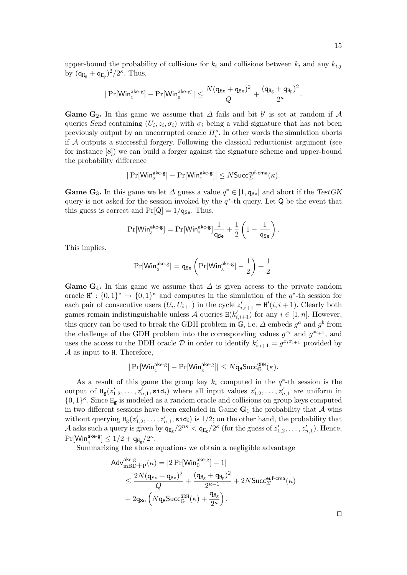upper-bound the probability of collisions for  $k_i$  and collisions between  $k_i$  and any  $k_{i,j}$ by  $(q_{H_g} + q_{H_p})^2/2^{\kappa}$ . Thus,

$$
|\Pr[\mathsf{Win}_1^{\mathsf{ake}\text{-}\mathsf{g}}]-\Pr[\mathsf{Win}_0^{\mathsf{ake}\text{-}\mathsf{g}}]|\leq \frac{N(q_{\mathsf{Ex}}+q_{\mathsf{Se}})^2}{Q}+\frac{(q_{\mathtt{H_g}}+q_{\mathtt{H_p}})^2}{2^{\kappa}}.
$$

Game G<sub>2</sub>. In this game we assume that  $\Delta$  fails and bit b' is set at random if  $\mathcal A$ queries Send containing  $(U_i, z_i, \sigma_i)$  with  $\sigma_i$  being a valid signature that has not been previously output by an uncorrupted oracle  $\Pi_i^s$ . In other words the simulation aborts if A outputs a successful forgery. Following the classical reductionist argument (see for instance [8]) we can build a forger against the signature scheme and upper-bound the probability difference

$$
|\Pr[\mathsf{Win}_2^{\mathsf{ake}\text{-}\mathsf{g}}]-\Pr[\mathsf{Win}_1^{\mathsf{ake}\text{-}\mathsf{g}}]|\leq N\mathsf{Succ}_{\varSigma}^{\mathsf{euf}\text{-}\mathsf{cma}}(\kappa).
$$

**Game G<sub>3</sub>.** In this game we let  $\Delta$  guess a value  $q^* \in [1, q_{\text{Se}}]$  and abort if the TestGK query is not asked for the session invoked by the  $q^*$ -th query. Let Q be the event that this guess is correct and  $Pr[Q] = 1/q_{\text{Se}}$ . Thus,

$$
\Pr[\mathsf{Win}_{3}^{\mathsf{ake}\text{-}\mathsf{g}}] = \Pr[\mathsf{Win}_{2}^{\mathsf{ake}\text{-}\mathsf{g}}] \frac{1}{\mathsf{q}_{\mathsf{Se}}} + \frac{1}{2} \left( 1 - \frac{1}{\mathsf{q}_{\mathsf{Se}}} \right)
$$

.

This implies,

$$
\Pr[\mathsf{Win}_2^{\mathsf{ake}\text{-}\mathsf{g}}]=\mathsf{q}_{\mathsf{Se}}\left(\Pr[\mathsf{Win}_3^{\mathsf{ake}\text{-}\mathsf{g}}]-\frac{1}{2}\right)+\frac{1}{2}.
$$

Game G<sub>4</sub>. In this game we assume that  $\Delta$  is given access to the private random oracle  $H' : \{0,1\}^* \to \{0,1\}^{\kappa}$  and computes in the simulation of the  $q^*$ -th session for each pair of consecutive users  $(U_i, U_{i+1})$  in the cycle  $z'_{i,i+1} = H'(i, i + 1)$ . Clearly both games remain indistinguishable unless A queries  $H(k'_{i,i+1})$  for any  $i \in [1, n]$ . However, this query can be used to break the GDH problem in  $\mathbb{G}$ , i.e.  $\Delta$  embeds  $g^a$  and  $g^b$  from the challenge of the GDH problem into the corresponding values  $g^{x_i}$  and  $g^{x_{i+1}}$ , and uses the access to the DDH oracle  $\mathcal D$  in order to identify  $k'_{i,i+1} = g^{x_i x_{i+1}}$  provided by  $A$  as input to H. Therefore,

$$
|\Pr[\mathsf{Win}^{\mathsf{ake}\text{-}\mathsf{g}}_4]-\Pr[\mathsf{Win}^{\mathsf{ake}\text{-}\mathsf{g}}_3]|\leq N\mathsf{q}_{\mathtt{H}}\mathsf{Succ}^{\mathsf{GDH}}_{\mathbb{G}}(\kappa).
$$

As a result of this game the group key  $k_i$  computed in the  $q^*$ -th session is the output of  $H_g(z_1')$  $\mathbf{z}'_{1,2}, \ldots, \mathbf{z}'_{n,1}, \mathtt{sid}_i)$  where all input values  $z'_1$  $z'_{1,2}, \ldots, z'_{n,1}$  are uniform in  $\{0,1\}^{\kappa}$ . Since  $\text{H}_{g}$  is modeled as a random oracle and collisions on group keys computed in two different sessions have been excluded in Game  $G_1$  the probability that A wins without querying  $H_g(z_1')$  $\mathbf{z}'_{1,2}, \ldots, \mathbf{z}'_{n,1}, \mathbf{sid}_i$  is  $1/2$ ; on the other hand, the probability that A asks such a query is given by  $q_{\text{Hg}}/2^{n\kappa} < q_{\text{Hg}}/2^{\kappa}$  (for the guess of  $z_1$ )  $z'_{1,2}, \ldots, z'_{n,1}$ ). Hence,  $\Pr[\mathsf{Win}_4^{\mathsf{ake}\text{-}\mathsf{g}}] \leq 1/2 + \mathsf{q}_{\mathtt{H}_{\mathsf{g}}}/2^{\kappa}.$ 

Summarizing the above equations we obtain a negligible advantage

$$
\begin{aligned} &\mathsf{Adv}_{\mathrm{mBD+P}}^{\mathsf{ake-g}}(\kappa) = |2\Pr[\mathsf{Win}_{0}^{\mathsf{ake-g}}]-1|\\ &\leq \frac{2N(q_{\text{Ex}}+q_{\text{Se}})^2}{Q} + \frac{(q_{\text{H}_{\text{g}}}+q_{\text{H}_{\text{p}}})^2}{2^{\kappa-1}} + 2N\mathsf{Succ}_{\Sigma}^{\mathsf{euf-cma}}(\kappa)\\ &+ 2q_{\text{Se}}\left(Nq_{\text{H}}\mathsf{Succ}_{\mathbb{G}}^{\mathsf{GDH}}(\kappa) + \frac{q_{\text{H}_{\text{g}}}}{2^{\kappa}}\right). \end{aligned}
$$

⊓⊔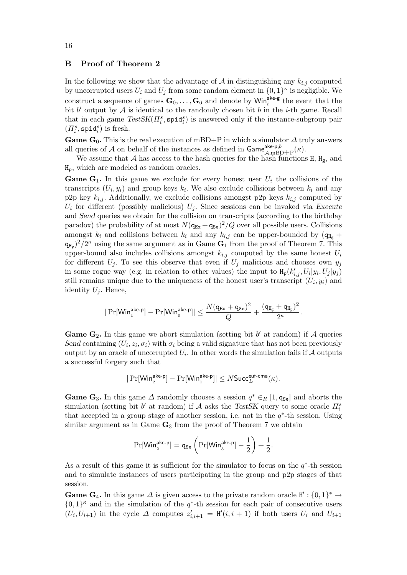# B Proof of Theorem 2

In the following we show that the advantage of  $A$  in distinguishing any  $k_{i,j}$  computed by uncorrupted users  $U_i$  and  $U_j$  from some random element in  $\{0,1\}^{\kappa}$  is negligible. We construct a sequence of games  $\mathbf{G}_0, \ldots, \mathbf{G}_6$  and denote by  $\text{Win}_i^{\text{ake-g}}$  the event that the bit  $b'$  output by  $\mathcal A$  is identical to the randomly chosen bit  $b$  in the *i*-th game. Recall that in each game  $TestSK(\Pi_i^s, \text{spid}_i^s)$  is answered only if the instance-subgroup pair  $(\varPi_i^s, \mathtt{spid}_i^s)$  is fresh.

**Game G<sub>0</sub>.** This is the real execution of mBD+P in which a simulator  $\Delta$  truly answers all queries of A on behalf of the instances as defined in  $\mathsf{Game}^{\mathsf{ake-p},b}_{\mathcal{A},\text{mBD}+\text{P}}(\kappa)$ .

We assume that A has access to the hash queries for the hash functions  $H$ ,  $H_g$ , and Hp, which are modeled as random oracles.

**Game G<sub>1</sub>.** In this game we exclude for every honest user  $U_i$  the collisions of the transcripts  $(U_i, y_i)$  and group keys  $k_i$ . We also exclude collisions between  $k_i$  and any p2p key  $k_{i,j}$ . Additionally, we exclude collisions amongst p2p keys  $k_{i,j}$  computed by  $U_i$  for different (possibly malicious)  $U_j$ . Since sessions can be invoked via Execute and Send queries we obtain for the collision on transcripts (according to the birthday paradox) the probability of at most  $N(\mathbf{q}_{Ex} + \mathbf{q}_{Se})^2/Q$  over all possible users. Collisions amongst  $k_i$  and collisions between  $k_i$  and any  $k_{i,j}$  can be upper-bounded by  $(q_{H_g} +$  $(q_{H_p})^2/2^{\kappa}$  using the same argument as in Game  $G_1$  from the proof of Theorem 7. This upper-bound also includes collisions amongst  $k_{i,j}$  computed by the same honest  $U_i$ for different  $U_j$ . To see this observe that even if  $U_j$  malicious and chooses own  $y_j$ in some rogue way (e.g. in relation to other values) the input to  $H_p(k'_{i,j}, U_i|y_i, U_j|y_j)$ still remains unique due to the uniqueness of the honest user's transcript  $(U_i, y_i)$  and identity  $U_i$ . Hence,

$$
|\Pr[\mathsf{Win}_1^{\mathsf{ake-p}}]-\Pr[\mathsf{Win}_0^{\mathsf{ake-p}}]|\leq \frac{N(q_{\mathsf{Ex}}+q_{\mathsf{Se}})^2}{Q}+\frac{(q_{\mathtt{H_g}}+q_{\mathtt{H_p}})^2}{2^{\kappa}}.
$$

**Game G<sub>2</sub>.** In this game we abort simulation (setting bit  $b'$  at random) if A queries Send containing  $(U_i, z_i, \sigma_i)$  with  $\sigma_i$  being a valid signature that has not been previously output by an oracle of uncorrupted  $U_i$ . In other words the simulation fails if  ${\mathcal{A}}$  outputs a successful forgery such that

$$
|\Pr[\mathsf{Win}_2^{\mathsf{ake-p}}]-\Pr[\mathsf{Win}_1^{\mathsf{ake-p}}]|\leq N\mathsf{Succ}_{\varSigma}^{\mathsf{euf-cma}}(\kappa).
$$

**Game G<sub>3</sub>.** In this game  $\Delta$  randomly chooses a session  $q^* \in_R [1, q_{\text{Se}}]$  and aborts the simulation (setting bit  $b'$  at random) if  $A$  asks the TestSK query to some oracle  $\Pi_i^s$ that accepted in a group stage of another session, i.e. not in the  $q^*$ -th session. Using similar argument as in Game  $\mathbf{G}_3$  from the proof of Theorem 7 we obtain

$$
\Pr[\mathsf{Win}_2^{\mathsf{ake-p}}]=\mathsf{q}_{\mathsf{Se}}\left(\Pr[\mathsf{Win}_3^{\mathsf{ake-p}}]-\frac{1}{2}\right)+\frac{1}{2}.
$$

As a result of this game it is sufficient for the simulator to focus on the  $q^*$ -th session and to simulate instances of users participating in the group and p2p stages of that session.

**Game G<sub>4</sub>.** In this game  $\Delta$  is given access to the private random oracle  $H' : \{0,1\}^* \to$  $\{0,1\}^{\kappa}$  and in the simulation of the  $q^*$ -th session for each pair of consecutive users  $(U_i, U_{i+1})$  in the cycle  $\Delta$  computes  $z'_{i,i+1} = H'(i, i+1)$  if both users  $U_i$  and  $U_{i+1}$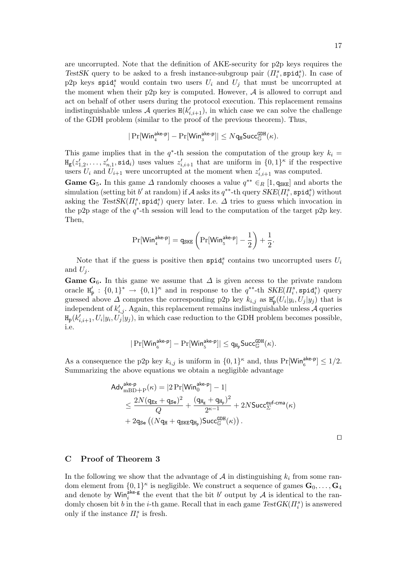are uncorrupted. Note that the definition of AKE-security for p2p keys requires the TestSK query to be asked to a fresh instance-subgroup pair  $(\Pi_i^s, \text{spid}_i^s)$ . In case of p2p keys spid<sub>i</sub> would contain two users  $U_i$  and  $U_j$  that must be uncorrupted at the moment when their p2p key is computed. However,  $A$  is allowed to corrupt and act on behalf of other users during the protocol execution. This replacement remains indistinguishable unless  $\mathcal A$  queries  $H(k'_{i,i+1})$ , in which case we can solve the challenge of the GDH problem (similar to the proof of the previous theorem). Thus,

$$
|\Pr[\mathsf{Win}_4^{\mathsf{ake-p}}]-\Pr[\mathsf{Win}_3^{\mathsf{ake-p}}]|\leq Nq_{\mathtt{H}}\mathsf{Succ}^{\mathsf{GDH}}_{\mathbb{G}}(\kappa).
$$

This game implies that in the  $q^*$ -th session the computation of the group key  $k_i =$  $H_g(z'_1)$  $\mathbf{z}'_{i,1}, \ldots, \mathbf{z}'_{n,1}, \text{sid}_i$  uses values  $\mathbf{z}'_{i,i+1}$  that are uniform in  $\{0,1\}^{\kappa}$  if the respective users  $U_i$  and  $U_{i+1}$  were uncorrupted at the moment when  $z'_{i,i+1}$  was computed.

**Game G<sub>5</sub>.** In this game  $\Delta$  randomly chooses a value  $q^{**} \in_R [1, q_{SKE}]$  and aborts the  $\sigma^*$ simulation (setting bit  $b'$  at random) if  ${\cal A}$  asks its  $q^{**}$ -th query  $\dot{SKE}(\overline{H_i^s}, {\tt spid}_i^s)$  without asking the  $TestSK(\Pi_i^s, \text{spid}_i^s)$  query later. I.e.  $\Delta$  tries to guess which invocation in the p2p stage of the  $q^*$ -th session will lead to the computation of the target p2p key. Then,

$$
\Pr[\mathsf{Win}_{4}^{\mathsf{ake-p}}] = q_{\mathsf{SKE}} \left( \Pr[\mathsf{Win}_{5}^{\mathsf{ake-p}}] - \frac{1}{2} \right) + \frac{1}{2}.
$$

Note that if the guess is positive then  $\text{spid}_i^s$  contains two uncorrupted users  $U_i$ and  $U_i$ .

Game G<sub>6</sub>. In this game we assume that  $\Delta$  is given access to the private random oracle H ′  $p'_{\mathbf{p}}: \{0,1\}^* \to \{0,1\}^{\kappa}$  and in response to the  $q^{**}$ -th  $SKE(\Pi_i^s, \text{spid}_i^s)$  query guessed above  $\Delta$  computes the corresponding p2p key  $k_{i,j}$  as  $H_i$  $p'_{\rm p}(U_i|y_i,U_j|y_j)$  that is independent of  $k'_{i,j}$ . Again, this replacement remains indistinguishable unless A queries  $H_p(k'_{i,i+1}, U_i|y_i, U_j|y_j)$ , in which case reduction to the GDH problem becomes possible, i.e.

$$
|\Pr[\mathsf{Win}_{_{6}}^{\mathsf{ake-p}}]-\Pr[\mathsf{Win}_{_{5}}^{\mathsf{ake-p}}]|\leq q_{H_{p}}\mathsf{Succ}_{\mathbb{G}}^{\mathsf{GDH}}(\kappa).
$$

As a consequence the p2p key  $k_{i,j}$  is uniform in  $\{0,1\}^{\kappa}$  and, thus  $Pr[\text{Win}_{6}^{\text{ake-p}}] \leq 1/2$ . Summarizing the above equations we obtain a negligible advantage

$$
\begin{aligned} &\mathsf{Adv}_{\mathrm{mBD}+\mathrm{P}}^{\mathsf{ake-p}}(\kappa) = |2\Pr[\mathsf{Win}_{0}^{\mathsf{ake-p}}]-1|\\ &\leq \frac{2N(q_{\text{Ex}}+q_{\text{Se}})^{2}}{Q} + \frac{(q_{\text{H}_{\text{g}}}+q_{\text{H}_{\text{p}}})^{2}}{2^{\kappa-1}} + 2N\mathsf{Succ}_{\Sigma}^{\mathsf{euf-cma}}(\kappa)\\ &+ 2q_{\text{Se}}\left((Nq_{\text{H}}+q_{\text{SKE}}q_{\text{H}_{\text{p}}})\mathsf{Succ}_{\mathbb{G}}^{\mathsf{GDR}}(\kappa)\right). \end{aligned}
$$

⊓⊔

# C Proof of Theorem 3

In the following we show that the advantage of  $A$  in distinguishing  $k_i$  from some random element from  $\{0,1\}^{\kappa}$  is negligible. We construct a sequence of games  $\mathbf{G}_0, \ldots, \mathbf{G}_4$ and denote by  $\text{Win}_{i}^{\text{ake-g}}$  the event that the bit b' output by A is identical to the randomly chosen bit b in the *i*-th game. Recall that in each game  $TestGK(\Pi_i^s)$  is answered only if the instance  $\Pi_i^s$  is fresh.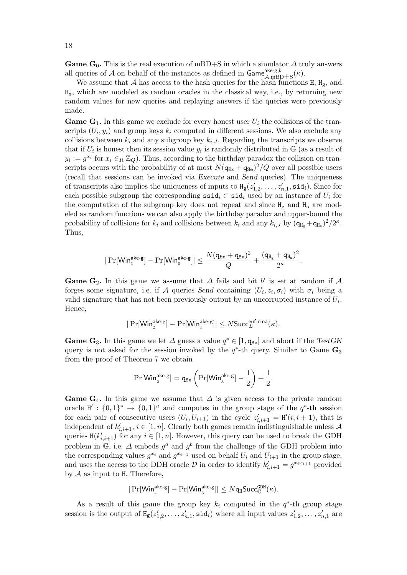Game G<sub>0</sub>. This is the real execution of mBD+S in which a simulator  $\Delta$  truly answers all queries of A on behalf of the instances as defined in  $\mathsf{Game}^{\mathsf{ake},g,b}_{\mathcal{A},\text{mBD}+\text{S}}(\kappa)$ .

We assume that  $A$  has access to the hash queries for the hash functions  $H$ ,  $H_g$ , and Hs, which are modeled as random oracles in the classical way, i.e., by returning new random values for new queries and replaying answers if the queries were previously made.

**Game G<sub>1</sub>.** In this game we exclude for every honest user  $U_i$  the collisions of the transcripts  $(U_i, y_i)$  and group keys  $k_i$  computed in different sessions. We also exclude any collisions between  $k_i$  and any subgroup key  $k_{i,J}$ . Regarding the transcripts we observe that if  $U_i$  is honest then its session value  $y_i$  is randomly distributed in  $\mathbb{G}$  (as a result of  $y_i := g^{x_i}$  for  $x_i \in_R \mathbb{Z}_Q$ ). Thus, according to the birthday paradox the collision on transcripts occurs with the probability of at most  $N(\mathbf{q}_{Ex} + \mathbf{q}_{Se})^2/Q$  over all possible users (recall that sessions can be invoked via Execute and Send queries). The uniqueness of transcripts also implies the uniqueness of inputs to  $H_g(z)$  $z'_{1,2},\ldots,z'_{n,1},$   $\textsf{sid}_i$ ). Since for each possible subgroup the corresponding  $\texttt{ssid}_i \subset \texttt{sid}_i$  used by an instance of  $U_i$  for the computation of the subgroup key does not repeat and since  $H_g$  and  $H_s$  are modeled as random functions we can also apply the birthday paradox and upper-bound the probability of collisions for  $k_i$  and collisions between  $k_i$  and any  $k_{i,J}$  by  $(q_{H_g} + q_{H_s})^2/2^{\kappa}$ . Thus,

$$
|\Pr[\mathsf{Win}_1^{\mathsf{ake}\text{-}\mathsf{g}}]-\Pr[\mathsf{Win}_0^{\mathsf{ake}\text{-}\mathsf{g}}]|\leq \frac{N(q_{\mathsf{Ex}}+q_{\mathsf{Se}})^2}{Q}+\frac{(q_{\mathtt{H}_{\mathsf{g}}}+q_{\mathtt{H}_{\mathsf{s}}})^2}{2^\kappa}.
$$

Game G<sub>2</sub>. In this game we assume that  $\Delta$  fails and bit b' is set at random if  $\mathcal A$ forges some signature, i.e. if A queries Send containing  $(U_i, z_i, \sigma_i)$  with  $\sigma_i$  being a valid signature that has not been previously output by an uncorrupted instance of  $U_i$ . Hence,

$$
|\Pr[\mathsf{Win}_2^{\mathsf{ake}\text{-}\mathsf{g}}]-\Pr[\mathsf{Win}_1^{\mathsf{ake}\text{-}\mathsf{g}}]|\leq N\mathsf{Succ}_\varSigma^{\mathsf{euf}\text{-}\mathsf{cma}}(\kappa).
$$

**Game G<sub>3</sub>.** In this game we let  $\Delta$  guess a value  $q^* \in [1, q_{\text{Se}}]$  and abort if the TestGK query is not asked for the session invoked by the  $q^*$ -th query. Similar to Game  $\mathbf{G}_3$ from the proof of Theorem 7 we obtain

$$
\Pr[\mathsf{Win}_2^{\mathsf{ake}\text{-}\mathsf{g}}] = \mathsf{q}_{\mathsf{Se}}\left(\Pr[\mathsf{Win}_3^{\mathsf{ake}\text{-}\mathsf{g}}] - \frac{1}{2}\right) + \frac{1}{2}.
$$

Game G<sub>4</sub>. In this game we assume that  $\Delta$  is given access to the private random oracle  $H' : \{0,1\}^* \to \{0,1\}^{\kappa}$  and computes in the group stage of the  $q^*$ -th session for each pair of consecutive users  $(U_i, U_{i+1})$  in the cycle  $z'_{i,i+1} = H'(i, i+1)$ , that is independent of  $k'_{i,i+1}, i \in [1, n]$ . Clearly both games remain indistinguishable unless A queries  $H(k'_{i,i+1})$  for any  $i \in [1, n]$ . However, this query can be used to break the GDH problem in  $\mathbb{G}$ , i.e.  $\Delta$  embeds  $g^a$  and  $g^b$  from the challenge of the GDH problem into the corresponding values  $g^{x_i}$  and  $g^{x_{i+1}}$  used on behalf  $U_i$  and  $U_{i+1}$  in the group stage, and uses the access to the DDH oracle  $\mathcal D$  in order to identify  $k'_{i,i+1} = g^{x_i x_{i+1}}$  provided by  $A$  as input to H. Therefore,

$$
|\Pr[\mathsf{Win}_4^{\mathsf{ake}\text{-}\mathsf{g}}]-\Pr[\mathsf{Win}_3^{\mathsf{ake}\text{-}\mathsf{g}}]|\leq N\mathsf{q}_{\mathtt{H}}\mathsf{Succ}^{\mathtt{GDH}}_{\mathbb{G}}(\kappa).
$$

As a result of this game the group key  $k_i$  computed in the  $q^*$ -th group stage session is the output of  $H_g(z)$  $\mathbf{z}'_{1,2}, \ldots, \mathbf{z}'_{n,1}, \mathtt{sid}_i)$  where all input values  $z'_1$  $z'_{1,2}, \ldots, z'_{n,1}$  are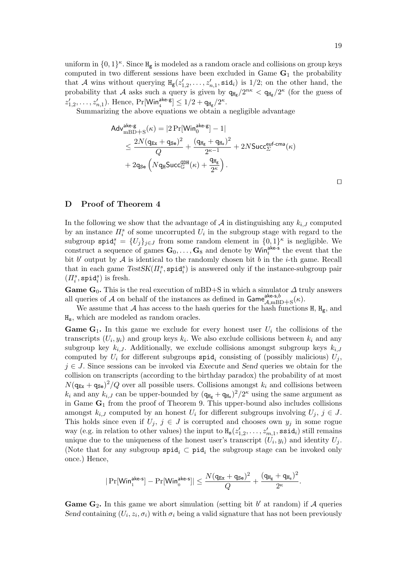uniform in  $\{0,1\}^{\kappa}$ . Since  $H_g$  is modeled as a random oracle and collisions on group keys computed in two different sessions have been excluded in Game  $G_1$  the probability that A wins without querying  $H_g(z_1)$  $\mathbf{z}'_{1,2}, \ldots, \mathbf{z}'_{n,1}, \texttt{sid}_i)$  is  $1/2$ ; on the other hand, the probability that A asks such a query is given by  $q_{H_g}/2^{n\kappa} < q_{H_g}/2^{\kappa}$  (for the guess of  $z'_1$  $\sum_{1,2}^{\prime}, \ldots, z'_{n,1}$ ). Hence,  $\Pr[\mathsf{Win}_4^{\mathsf{ake-g}}] \leq 1/2 + \mathsf{q}_{\mathtt{H_g}}/2^{\kappa}.$ 

Summarizing the above equations we obtain a negligible advantage

$$
\begin{aligned} &\mathsf{Adv}_{\text{mBD+S}}^{\text{ake-g}}(\kappa) = |2\Pr[\mathsf{Win}_{0}^{\text{ake-g}}]-1|\\ &\leq \frac{2N(q_{\text{Ex}}+q_{\text{Se}})^2}{Q}+\frac{(q_{\text{Hg}}+q_{\text{Hs}})^2}{2^{\kappa-1}}+2N\mathsf{Succ}_{\Sigma}^{\text{euf-cma}}(\kappa)\\ &+2q_{\text{Se}}\left(Nq_{\text{H}}\mathsf{Succ}_{\mathbb{G}}^{\text{GBH}}(\kappa)+\frac{q_{\text{Hg}}}{2^{\kappa}}\right). \end{aligned}
$$

⊓⊔

# D Proof of Theorem 4

In the following we show that the advantage of  $A$  in distinguishing any  $k_{i,J}$  computed by an instance  $\Pi_i^s$  of some uncorrupted  $U_i$  in the subgroup stage with regard to the subgroup  $\text{spid}_i^s = \{U_j\}_{j\in J}$  from some random element in  $\{0,1\}^{\kappa}$  is negligible. We construct a sequence of games  $\mathbf{G}_0, \ldots, \mathbf{G}_8$  and denote by Win<sup>ake-s</sup> the event that the bit  $b'$  output by  $\mathcal A$  is identical to the randomly chosen bit  $b$  in the *i*-th game. Recall that in each game  $TestSK(\Pi_i^s, \text{spid}_i^s)$  is answered only if the instance-subgroup pair  $(\varPi_i^s, \mathtt{spid}_i^s)$  is fresh.

Game  $G_0$ . This is the real execution of mBD+S in which a simulator  $\Delta$  truly answers all queries of A on behalf of the instances as defined in  $\mathsf{Game}^{\mathsf{ake-s},b}_{\mathcal{A},\text{mBD}+\text{S}}(\kappa)$ .

We assume that A has access to the hash queries for the hash functions  $H$ ,  $H_g$ , and Hs, which are modeled as random oracles.

**Game G<sub>1</sub>.** In this game we exclude for every honest user  $U_i$  the collisions of the transcripts  $(U_i, y_i)$  and group keys  $k_i$ . We also exclude collisions between  $k_i$  and any subgroup key  $k_{i,J}$ . Additionally, we exclude collisions amongst subgroup keys  $k_{i,J}$ computed by  $U_i$  for different subgroups  $\texttt{spid}_i$  consisting of (possibly malicious)  $U_j$ ,  $j \in J$ . Since sessions can be invoked via Execute and Send queries we obtain for the collision on transcripts (according to the birthday paradox) the probability of at most  $N(\mathbf{q}_{\text{Ex}} + \mathbf{q}_{\text{Se}})^2$  (Q over all possible users. Collisions amongst  $k_i$  and collisions between  $k_i$  and any  $k_{i,J}$  can be upper-bounded by  $(q_{\text{Hg}} + q_{\text{Hs}})^2/2^{\kappa}$  using the same argument as in Game  $G_1$  from the proof of Theorem 9. This upper-bound also includes collisions amongst  $k_{i,J}$  computed by an honest  $U_i$  for different subgroups involving  $U_j$ ,  $j \in J$ . This holds since even if  $U_j$ ,  $j \in J$  is corrupted and chooses own  $y_j$  in some rogue way (e.g. in relation to other values) the input to  $H_s(z)$  $\mathbf{z}'_{1,2}, \ldots, \mathbf{z}'_{m,1}, \mathtt{ssid}_i) \text{ still remains}$ unique due to the uniqueness of the honest user's transcript  $(U_i, y_i)$  and identity  $U_j$ . (Note that for any subgroup  $\text{spid}_i \subset \text{pid}_i$  the subgroup stage can be invoked only once.) Hence,

$$
|\Pr[\mathsf{Win}_1^{\mathsf{ake-s}}]-\Pr[\mathsf{Win}_0^{\mathsf{ake-s}}]|\leq \frac{N(q_{\text{Ex}}+q_{\text{Se}})^2}{Q}+\frac{(q_{\text{H}_\text{g}}+q_{\text{H}_\text{s}})^2}{2^\kappa}.
$$

Game  $G_2$ . In this game we abort simulation (setting bit  $b'$  at random) if A queries Send containing  $(U_i, z_i, \sigma_i)$  with  $\sigma_i$  being a valid signature that has not been previously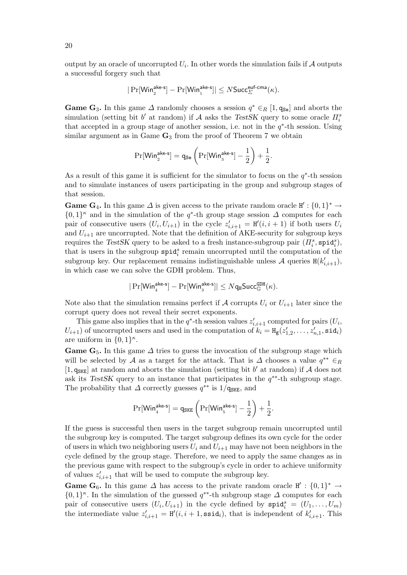output by an oracle of uncorrupted  $U_i$ . In other words the simulation fails if  ${\mathcal{A}}$  outputs a successful forgery such that

$$
|\Pr[\mathsf{Win}^\mathsf{ake\text{-}s}_2]-\Pr[\mathsf{Win}^\mathsf{ake\text{-}s}_1]| \leq N\mathsf{Succ}^\mathsf{euf\text{-}cma}_\varSigma(\kappa).
$$

**Game G<sub>3</sub>.** In this game  $\Delta$  randomly chooses a session  $q^* \in_R [1, q_{\text{Se}}]$  and aborts the simulation (setting bit  $b'$  at random) if  $A$  asks the TestSK query to some oracle  $\Pi_i^s$ that accepted in a group stage of another session, i.e. not in the  $q^*$ -th session. Using similar argument as in Game  $G_3$  from the proof of Theorem 7 we obtain

$$
\Pr[\mathsf{Win}_2^{\mathsf{ake}\text{-}\mathsf{s}}] = \mathsf{q}_{\mathsf{Se}}\left(\Pr[\mathsf{Win}_3^{\mathsf{ake}\text{-}\mathsf{s}}] - \frac{1}{2}\right) + \frac{1}{2}.
$$

As a result of this game it is sufficient for the simulator to focus on the  $q^*$ -th session and to simulate instances of users participating in the group and subgroup stages of that session.

**Game G<sub>4</sub>.** In this game  $\Delta$  is given access to the private random oracle  $H' : \{0,1\}^* \to$  $\{0,1\}^{\kappa}$  and in the simulation of the q<sup>\*</sup>-th group stage session  $\Delta$  computes for each pair of consecutive users  $(U_i, U_{i+1})$  in the cycle  $z'_{i,i+1} = H'(i, i + 1)$  if both users  $U_i$ and  $U_{i+1}$  are uncorrupted. Note that the definition of AKE-security for subgroup keys requires the TestSK query to be asked to a fresh instance-subgroup pair  $(\Pi_i^s, \text{spid}_i^s)$ , that is users in the subgroup  $\text{spid}_i^s$  remain uncorrupted until the computation of the subgroup key. Our replacement remains indistinguishable unless  $A$  queries  $H(k'_{i,i+1})$ , in which case we can solve the GDH problem. Thus,

$$
|\Pr[\mathsf{Win}_4^{\mathsf{ake-s}}]-\Pr[\mathsf{Win}_3^{\mathsf{ake-s}}]|\leq N\mathsf{q}_{\mathtt{H}}\mathsf{Succ}_{\mathbb{G}}^{\mathsf{GDH}}(\kappa).
$$

Note also that the simulation remains perfect if A corrupts  $U_i$  or  $U_{i+1}$  later since the corrupt query does not reveal their secret exponents.

This game also implies that in the  $q^*$ -th session values  $z'_{i,i+1}$  computed for pairs  $(U_i,$  $U_{i+1}$ ) of uncorrupted users and used in the computation of  $k_i = H_{\text{g}}(z)$  $z'_{1,2},\ldots,z'_{n,1},\mathtt{sid}_i)$ are uniform in  $\{0,1\}^{\kappa}$ .

**Game G<sub>5</sub>.** In this game  $\Delta$  tries to guess the invocation of the subgroup stage which will be selected by A as a target for the attack. That is  $\Delta$  chooses a value  $q^{**} \in R$ [1,  $q_{SKE}$ ] at random and aborts the simulation (setting bit b' at random) if A does not ask its TestSK query to an instance that participates in the  $q^{**}$ -th subgroup stage. The probability that  $\Delta$  correctly guesses  $q^{**}$  is 1/ $q_{SKE}$ , and

$$
\Pr[\mathsf{Win}_{4}^{\mathsf{ake-s}}]=\mathsf{q_{SKE}}\left(\Pr[\mathsf{Win}_{5}^{\mathsf{ake-s}}]-\frac{1}{2}\right)+\frac{1}{2}.
$$

If the guess is successful then users in the target subgroup remain uncorrupted until the subgroup key is computed. The target subgroup defines its own cycle for the order of users in which two neighboring users  $U_i$  and  $U_{i+1}$  may have not been neighbors in the cycle defined by the group stage. Therefore, we need to apply the same changes as in the previous game with respect to the subgroup's cycle in order to achieve uniformity of values  $z'_{i,i+1}$  that will be used to compute the subgroup key.

**Game G<sub>6</sub>.** In this game  $\Delta$  has access to the private random oracle  $H' : \{0,1\}^* \rightarrow$  $\{0,1\}^{\kappa}$ . In the simulation of the guessed  $q^{**}$ -th subgroup stage  $\Delta$  computes for each pair of consecutive users  $(U_i, U_{i+1})$  in the cycle defined by  $\texttt{spid}_i^s = (U_1, \ldots, U_m)$ the intermediate value  $z'_{i,i+1} = H'(i, i+1, \text{ssid}_i)$ , that is independent of  $k'_{i,i+1}$ . This